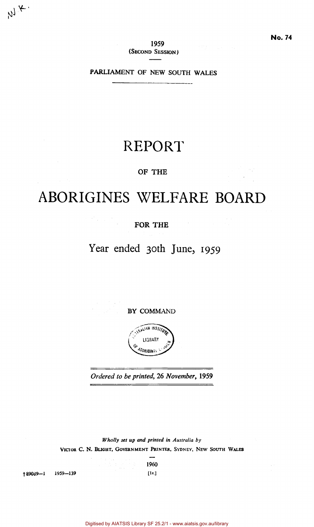**1959**  (SECOND SESSION)

PARLIAMENT OF NEW SOUTH WALES

## REPORT

## OF **THE**

# ABORIGINES WELFARE BOARD

## **FOR THE**

 $\label{eq:2} \mathcal{L} = \mathcal{L}^{\frac{1}{2}} \left( \frac{1}{\sqrt{2}} \right) \left( \frac{1}{\sqrt{2}} \right) \left( \frac{1}{\sqrt{2}} \right)$ 

## Year ended 30th June, 1959

**BY** COMMAND



*Ordered to be printed,* 26 *November,* **1959** 

*Wholly set up and printed in Australia by*  **VICTOR C. N. BLIGHT, GOVERNMENT PRINTER,** SYDNEY, NEW SOUTH **WALES** 

**1960** 

| t 89039—1 1959—139 | [1s.] |
|--------------------|-------|
|--------------------|-------|

 $M_{\star}$ 

Digitised by AIATSIS Library SF 25.2/1 - www.aiatsis.gov.au/library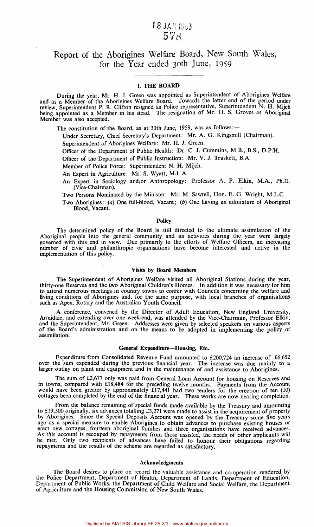## 18 JAN 1953 578

## Report of the Aborigines Welfare Board, New South Wales, for the Year ended 30th June, 1959

#### **I. THE BOARD**

During the year, Mr. H. J. Green was appointed as Superintendent of Aborigines Welfare and as a Member of the Aborigines Welfare Board. Towards the latter end of the period under review, Superintendent P. R. Clifton resigned as Police representative, Superintendent N. H. Mijch being appointed as a Member in his stead. The resignation of Mr. H. S. Groves as Aboriginal Member was also accepted.

The constitution of the Board, as at 30th June, 1959, was as follows:—

Under Secretary, Chief Secretary's Department: Mr. A. G. Kingsmill (Chairman).

Superintendent of Aborigines Welfare: Mr. H. J. Green.

Officer of the Department of Public Health: Dr. C. J. Cummins, M.B., B.S., D.P.H.

Officer of the Department of Public Instruction: Mr. V. J. Truskett, B.A.

Member of Police Force: Superintendent N. H. Mijch.

An Expert in Agriculture: Mr. S. Wyatt, M.L.A.

An Expert in Sociology and/or Anthropology: Professor A. P. Elkin, M.A., Ph.D. (Vice-Chairman).

Two Persons Nominated by the Minister: Mr. M. Sawtell, Hon. E. G. Wright, M.L.C.

Two Aborigines: *(a)* One full-blood, Vacant; *(b)* One having an admixture of Aboriginal Blood, Vacant.

#### **Policy**

The determined policy of the Board is still directed to the ultimate assimilation of the Aboriginal people into the general community and its activities during the year were largely governed with this end in view. Due primarily to the efforts of Welfare Officers, an increasing number of civic and philanthropic organisations have become interested and active in the implementation of this policy.

#### **Visits by Board Members**

The Superintendent of Aborigines Welfare visited all Aboriginal Stations during the year, thirty-one Reserves and the two Aboriginal Children's Homes. In addition it was necessary for him to attend numerous meetings in country towns to confer with Councils concerning the welfare and living conditions of Aborigines and, for the same purpose, with local branches of organisations such as Apex, Rotary and the Australian Youth Council.

A conference, convened by the Director of Adult Education, New England University, Armidale, and extending over one week-end, was attended by the Vice-Chairman, Professor Elkin, and the Superintendent, Mr. Green. Addresses were given by selected speakers on various aspects of the Board's administration and on the means to be adopted in implementing the policy of assimilation.

#### **General Expenditure—Housing, Etc.**

Expenditure from Consolidated Revenue Fund amounted to £200,724 an increase of £6,652 over the sum expended during the previous financial year. The increase was due mainly **to** a larger outlay on plant and equipment and in the maintenance of and assistance to Aborigines.

The sum of £2,677 only was paid from General Loan Account for housing on Reserves and in towns, compared with £18,484 for the preceding twelve months. Payments from the Account would have been greater by approximately  $£17,441$  had two tenders for the erection of ten (10) cottages been completed by the end of the financial year. These works are now nearing completion.

From the balance remaining of special funds made available by the Treasury and amounting to £19,500 originally, six advances totalling £3,271 were made to assist in the acquirement of property by Aborigines. Since the Special Deposits Account was opened by the Treasury some five years ago as a special measure to enable Aborigines to obtain advances to purchase existing houses or erect new cottages, fourteen aboriginal families and three organisations have received advances. As this account is recouped by repayments from those assisted, the needs of other applicants will be met. Only two recipients of advances have failed to honour their obligations regarding repayments and the results of the scheme are regarded as satisfactory.

#### Acknowledgments

The Board desires to place on record the valuable assistance and co-operation rendered by the Police Department, Department of Health, Department of Lands, Department of Education, Department of Public Works, the Department of Child Welfare and Social Welfare, the Department of Agriculture and the Housing Commission of New South Wales.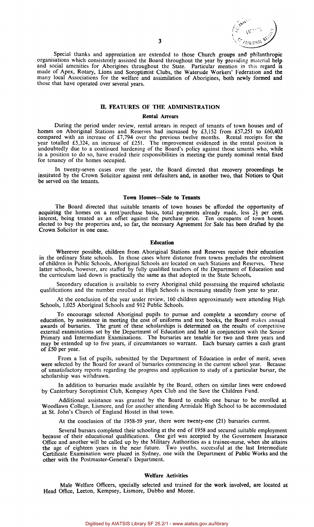

Special thanks and appreciation are extended to those Church groups and philanthropic organisations which consistently assisted the Board throughout the year by providing material **help**  and social amenities for Aborigines throughout the State. Particular mention in this regard is made of Apex, Rotary, Lions and Soroptimist Clubs, the Waterside Workers' Federation and the many local Associations for the welfare and assimilation of Aborigines, both newly formed and those that have operated over several years.

#### **II. FEATURES OF THE ADMINISTRATION**

#### **Rental Arrears**

During the period under review, rental arrears in respect of tenants of town houses and of homes on Aboriginal Stations and Reserves had increased by £3,152 from £57,251 to £60,403 compared with an increase of  $£7,794$  over the previous twelve months. Rental receipts for the year totalled £5,324, an increase of £251. The improvement evidenced in the rental position is undoubtedly due to a continued hardening of the Board's policy against those tenants who, while in a position to do so, have evaded their responsibilities in meeting the purely nominal rental fixed for tenancy of the homes occupied.

In twenty-seven cases over the year, the Board directed that recovery proceedings be instituted by the Crown Solicitor against rent defaulters and, in another two, that Notices to Quit be served on the tenants.

#### **Town Houses—Sale to Tenants**

The Board directed that suitable tenants of town houses be afforded the opportunity of acquiring the homes on a rent/purchase basis, total payments already made, less  $2\frac{1}{2}$  per cent. interest, being treated as an offset against the purchase price. Ten occupants of town houses elected to buy the properties and, so far, the necessary Agreement for Sale has been drafted by the Crown Solicitor in one case.

#### **Education**

Wherever possible, children from Aboriginal Stations and Reserves receive their education in the ordinary State schools. In those cases where distance from towns precludes the enrolment of children in Public Schools, Aboriginal Schools are located on such Stations and Reserves. These latter schools, however, are staffed by fully qualified teachers of the Department of Education and the curriculum laid down is practically the same as that adopted in the State Schools.

Secondary education is available to every Aboriginal child possessing the required scholastic qualifications and the number enrolled at High Schools is increasing steadily from year to year.

At the conclusion of the year under review, 160 children approximately were attending High Schools, 1,025 Aboriginal Schools and 912 Public Schools.

To encourage selected Aboriginal pupils to pursue and complete a secondary course of education, by assistance in meeting the cost of uniforms and text books, the Board makes annual awards of bursaries. The grant of these scholarships is determined on the results of competitive external examinations set by the Department of Education and held in conjunction with the Senior Primary and Intermediate Examinations. The bursaries are tenable for two and three years and may be extended up to five years, if circumstances so warrant. Each bursary carries a cash grant of £50 per year.

From a list of pupils, submitted by the Department of Education in order of merit, seven were selected by the Board for award of bursaries commencing in the current school year. Because of unsatisfactory reports regarding the progress and application to study of a particular bursar, the scholarship was withdrawn.

In addition to bursaries made available by the Board, others on similar lines were endowed by Canterbury Soroptimist Club, Kempsey Apex Club and the Save the Children Fund.

Additional assistance was granted by the Board to enable one bursar to be enrolled at Woodlawn College, Lismore, and for another attending Armidale High School to be accommodated at St. John's Church of England Hostel in that town.

At the conclusion of the 1958-59 year, there were twenty-one (21) bursaries current.

Several bursars completed their schooling at the end of 1958 and secured suitable employment because of their educational qualifications. One girl was accepted by the Government Insurance Office and another will be called up by the Military Authorities as a trainee-nurse, when she attains the age of eighteen years in the near future. Two youths, successful at the last Intermediate Certificate Examination were placed in Sydney, one with the Department of Public Works and the other with the Postmaster-General's Department.

#### **Welfare Activities**

Male Welfare Officers, specially selected and trained for the work involved, are located at Head Office, Leeton, Kempsey, Lismore, Dubbo and Moree.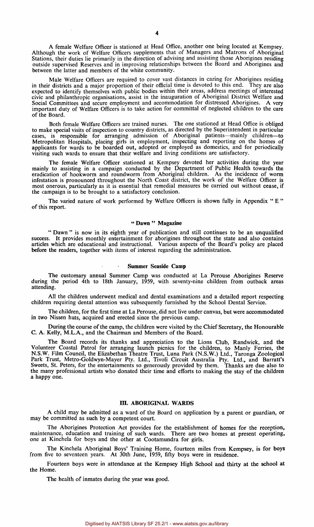A female Welfare Officer is stationed at Head Office, another one being located at Kempsey. Although the work of Welfare Officers supplements that of Managers and Matrons of Aboriginal Stations, their duties lie primarily in the direction of advising and assisting those Aborigines residing outside supervised Reserves and in improving relationships between the Board and Aborigines and between the latter and members of the white community.

Male Welfare Officers are required to cover vast distances in caring for Aborigines residing in their districts and a major proportion of their official time is devoted to this end. They are also expected to identify themselves with public bodies within their areas, address meetings of interested civic and philanthropic organisations, assist in the inauguration of Aboriginal District Welfare and Social Committees and secure employment and accommodation for distressed Aborigines. A very important duty of Welfare Officers is to take action for committal of neglected children to the care of the Board.

Both female Welfare Officers are trained nurses. The one stationed at Head Office is obliged to make special visits of inspection to country districts, as directed by the Superintendent in particular cases, is responsible for arranging admission of Aboriginal patients—mainly children—to Metropolitan Hospitals, placing girls in employment, inspecting and reporting on the homes of applicants for wards to be boarded out, adopted or employed as domestics, and for periodically visiting such wards to ensure that their welfare and living conditions are satisfactory.

The female Welfare Officer stationed at Kempsey devoted her activities during the year mainly to assisting in a campaign conducted by the Department of Public Health towards the eradication of hookworm and roundworm from Aboriginal children. As the incidence of worm infestation is pronounced throughout the North Coast district, the work of the Welfare Officer is most onerous, particularly as it is essential that remedial measures be carried out without cease, if the campaign is to be brought to a satisfactory conclusion.

The varied nature of work performed by Welfare Officers is shown fully in Appendix "E" of this report.

#### " **Dawn** " **Magazine**

" Dawn " is now in its eighth year of publication and still continues to be an unqualified success. It provides monthly entertainment for aborigines throughout the state and also contains articles which are educational and instructional. Various aspects of the Board's policy are placed before the readers, together with items of interest regarding the administration.

#### **Summer Seaside Camp**

The customary annual Summer Camp was conducted at La Perouse Aborigines Reserve during the period 4th to 18th January, 1959, with seventy-nine children from outback areas attending.

All the children underwent medical and dental examinations and a detailed report respecting children requiring dental attention was subsequently furnished by the School Dental Service.

The children, for the first time at La Perouse, did not live under canvas, but were accommodated in two Nissen huts, acquired and erected since the previous camp.

During the course of the camp, the children were visited by the Chief Secretary, the Honourable C. A. Kelly, M.L.A., and the Chairman and Members of the Board.

The Board records its thanks and appreciation to the Lions Club, Randwick, and the Volunteer Coastal Patrol for arranging launch picnics for the children, to Manly Ferries, the N.S.W. Film Council, the Elizabethan Theatre Trust, Luna Park (N.S.W.) Ltd., Taronga Zoological Park Trust, Metro-Goldwyn-Mayer Pty. Ltd., Tivoli Circuit Australia Pty. Ltd., and Barratt's Sweets, St. Peters, for the entertainments so generously provided by them. Thanks are due also to the many professional artists who donated their time and efforts to making the stay of the children a happy one.

#### **III. ABORIGINAL WARDS**

A child may be admitted as a ward of the Board on application by a parent or guardian, or may be committed as such by a competent court.

The Aborigines Protection Act provides for the establishment of homes for the reception, maintenance, education and training of such wards. There are two homes at present operating, one at Kinchela for boys and the other at Cootamundra for girls.

The Kinchela Aboriginal Boys' Training Home, fourteen miles from Kempsey, is for boys from five to seventeen years. At 30th June, 1959, fifty boys were in residence.

Fourteen boys were in attendance at the Kempsey High School and thirty at the school at the Home.

The health of inmates during the year was good.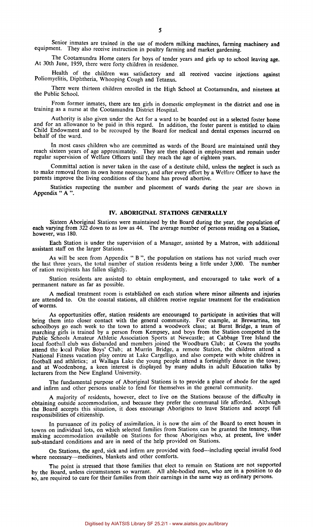Senior inmates are trained in the use of modern milking machines, farming machinery and equipment. They also receive instruction in poultry farming and market gardening.

The Cootamundra Home caters for boys of tender years and girls up to school leaving age. At 30th June, 1959, there were forty children in residence.

Health of the children was satisfactory and all received vaccine injections against Poliomyelitis, Diphtheria, Whooping Cough and Tetanus.

There were thirteen children enrolled in the High School at Cootamundra, and nineteen at the Public School.

From former inmates, there are ten girls in domestic employment in the district and one in training as a nurse at the Cootamundra District Hospital.

Authority is also given under the Act for a ward to be boarded out in a selected foster home and for an allowance to be paid in this regard. In addition, the foster parent is entitled to claim Child Endowment and to be recouped by the Board for medical and dental expenses incurred on behalf of the ward.

In most cases children who are committed as wards of the Board are maintained until they reach sixteen years of age approximately. They are then placed in employment and remain under regular supervision of Welfare Officers until they reach the age of eighteen years.

Committal action is never taken in the case of a destitute child, unless the neglect is such as to make removal from its own home necessary, and after every effort by a Welfare Officer to have the parents improve the living conditions of the home has proved abortive.

Statistics respecting the number and placement of wards during the year are shown in Appendix " A ".

#### **IV. ABORIGINAL STATIONS GENERALLY**

Sixteen Aboriginal Stations were maintained by the Board during the year, the population of each varying from 322 down to as low as 44. The average number of persons residing on a Station, however, was 180.

Each Station is under the supervision of a Manager, assisted by a Matron, with additional assistant staff on the larger Stations.

As will be seen from Appendix " B ", the population on stations has not varied much over the last three years, the total number of station residents being a little under 3,000. The number of ration recipients has fallen slightly.

Station residents are assisted to obtain employment, and encouraged to take work of a permanent nature as far as possible.

A medical treatment room is established on each station where minor ailments and injuries are attended to. On the coastal stations, all children receive regular treatment for the eradication of worms.

As opportunities offer, station residents are encouraged to participate in activities that will bring them into closer contact with the general community. For example, at Brewarrina, ten schoolboys go each week to the town to attend a woodwork class; at Burnt Bridge, a team of marching girls is trained by a person from Kempsey, and boys from the Station competed in the Public Schools Amateur Athletic Association Sports at Newcastle; at Cabbage Tree Island the local football club was disbanded and members joined the Woodburn Club; at Cowra the youths attend the local Police Boys' Club; at Murrin Bridge, a remote Station, the children attend a National Fitness vacation play centre at Lake Cargelligo, and also compete with white children in football and athletics; at Wallaga Lake the young people attend a fortnightly dance in the town; and at Woodenbong, a keen interest is displayed by many adults in adult Education talks by lecturers from the New England University.

The fundamental purpose of Aboriginal Stations is to provide a place of abode for the aged and infirm and other persons unable to fend for themselves in the general community.

A majority of residents, however, elect to live on the Stations because of the difficulty in obtaining outside accommodation, and because they prefer the communal life afforded. Although the Board accepts this situation, it does encourage Aborigines to leave Stations and accept full responsibilities of citizenship.

In pursuance of its policy of assimilation, it is now the aim of the Board to erect houses in towns on individual lots, on which selected families from Stations can be granted the tenancy, thus making accommodation available on Stations for those Aborigines who, at present, live under sub-standard conditions and are in need of the help provided on Stations.

On Stations, the aged, sick and infirm are provided with food—including special invalid food where necessary—medicines, blankets and other comforts.

The point is stressed that those families that elect to remain on Stations are not supported by the Board, unless circumstances so warrant. All able-bodied men, who are in a position to do so, are required to care for their families from their earnings in the same way as ordinary persons.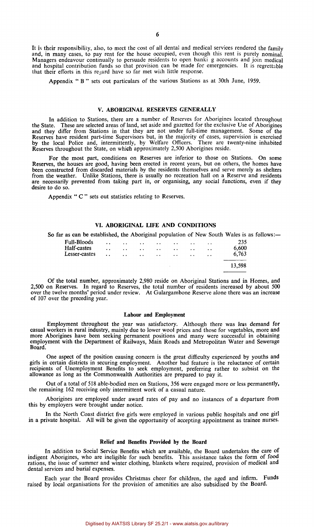It is their responsibility, also, to meet the cost of all dental and medical services rendered the family and, in many cases, to pay rent for the house occupied, even though this rent is purely nominal. Managers endeavour continually to persuade residents to open banki g accounts and join medical and hospital contribution funds so that provision can be made for emergencies. It is regrettable that their efforts in this regard have so far met with little response.

Appendix " B " sets out particulars of the various Stations as at 30th June, 1959.

#### V. **ABORIGINAL** RESERVES GENERALLY

**In** addition to Stations, there are a number of Reserves for Aborigines located throughout the State. These are selected areas of land, set aside and gazetted for the exclusive Use of Aborigines and they differ from Stations in that they are not under full-time management. Some of the Reserves have resident part-time Supervisors but, in the majority of cases, supervision is exercised by the local Police and, intermittently, by Welfare Officers. There are twenty-nine inhabited Reserves throughout the State, on which approximately 2,500 Aborigines reside.

For the most part, conditions on Reserves are inferior to those on Stations. On some Reserves, the houses are good, having been erected in recent years, but on others, the homes have been constructed from discarded materials by the residents themselves and serve merely as shelters from the weather. Unlike Stations, there is usually no recreation hall on a Reserve and residents are necessarily prevented from taking part in, or organising, any social functions, even if they desire to do so.

Appendix " C " sets out statistics relating to Reserves.

#### **VI. ABORIGINAL LIFE AND CONDITIONS**

So far as can be established, the Aboriginal population of New South Wales is as follows:—

| Full-Bloods   | $\ddotsc$ | and the state of the state of the state | <b>Contract Contract Contract</b> | $\cdots$                                                                                                        | $\sim$ $\sim$                                                                                                   | $\ddot{\phantom{0}}$ | 235    |
|---------------|-----------|-----------------------------------------|-----------------------------------|-----------------------------------------------------------------------------------------------------------------|-----------------------------------------------------------------------------------------------------------------|----------------------|--------|
| Half-castes   | $\ddotsc$ |                                         |                                   | the contract of the contract of the contract of the contract of the contract of the contract of the contract of |                                                                                                                 | $\cdots$             | 6,600  |
| Lesser-castes |           |                                         |                                   |                                                                                                                 | and the same state of the same state of the same state of the same state of the same state of the same state of |                      | 6.763  |
|               |           |                                         |                                   |                                                                                                                 |                                                                                                                 |                      |        |
|               |           |                                         |                                   |                                                                                                                 |                                                                                                                 |                      | 13,598 |
|               |           |                                         |                                   |                                                                                                                 |                                                                                                                 |                      |        |

Of the total number, approximately 2,980 reside on Aboriginal Stations and in Homes, and 2,500 on Reserves. In regard to Reserves, the total number of residents increased by about 500 over the twelve months' period under review. At Gulargambone Reserve alone there was an increase of 107 over the preceding year.

#### **Labour and Employment**

Employment throughout the year was satisfactory. Although there was less demand for casual workers in rural industry, mainly due to lower wool prices and those for vegetables, more and more Aborigines have been seeking permanent positions and many were successful in obtaining employment with the Department of Railways, Main Roads and Metropolitan Water and Sewerage Board.

One aspect of the position causing concern is the great difficulty experienced by youths and girls in certain districts in securing employment. Another bad feature is the reluctance of certain recipients of Unemployment Benefits to seek employment, preferring rather to subsist on the allowance as long as the Commonwealth Authorities are prepared to pay it.

Out of a total of 518 able-bodied men on Stations, 356 were engaged more or less permanently, the remaining 162 receiving only intermittent work of a casual nature.

Aborigines are employed under award rates of pay and no instances of a departure from this by employers were brought under notice.

In the North Coast district five girls were employed in various public hospitals and one girl in a private hospital. All will be given the opportunity of accepting appointment as trainee nurses.

#### **Relief and Benefits Provided by the Board**

**In** addition to Social Service Benefits which are available, the Board undertakes the care of indigent Aborigines, who are ineligible for such benefits. This assistance takes the form of food rations, the issue of summer and winter clothing, blankets where required, provision of medical and dental services and burial expenses.

Each year the Board provides Christmas cheer for children, the aged and infirm. Funds raised by local organisations for the provision of amenities are also subsidised by the Board.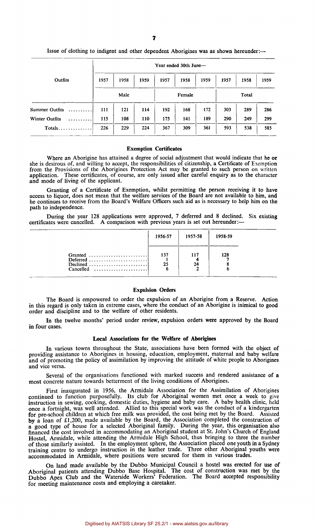|                       |      | Year ended 30th June- |      |        |      |       |      |      |      |  |  |
|-----------------------|------|-----------------------|------|--------|------|-------|------|------|------|--|--|
| Outfits               | 1957 | 1958                  | 1959 | 1957   | 1958 | 1959  | 1957 | 1958 | 1959 |  |  |
|                       | Male |                       |      | Female |      | Total |      |      |      |  |  |
| Summer Outfits        | 111  | 121                   | 114  | 192    | 168  | 172   | 303  | 289  | 286  |  |  |
| <b>Winter Outfits</b> | 115  | 108                   | 110  | 175    | 141  | 189   | 290  | 249  | 299  |  |  |
| $Totals$              | 226  | 229                   | 224  | 367    | 309  | 361   | 593  | 538  | 585  |  |  |

Issue of clothing to indigent and other dependent Aborigines was as shown hereunder:—

#### Exemption Certificates

Where an Aborigine has attained a degree of social adjustment that would indicate that he or she is desirous of, and willing to accept, the responsibilities of citizenship, a Certificate of Exemption from the Provisions of the Aborigines Protection Act may be granted to such person on written application. These certificates, of course, are only issued after careful enquiry as to the character and mode of living of the applicant.

Granting of a Certificate of Exemption, whilst permitting the person receiving it to have access to liquor, does not mean that the welfare services of the Board are not available to him, and he continues to receive from the Board's Welfare Officers such aid as is necessary to help him on the path to independence.

During the year 128 applications were approved, 7 deferred and 8 declined. Six existing certificates were cancelled. A comparison with previous years is set out hereunder:—

|                                                                                          | 1956-57   | 1957-58   | 1958-59 |
|------------------------------------------------------------------------------------------|-----------|-----------|---------|
| Granted<br>Deferred<br>Declined<br>$Cancelled \dots \dots \dots \dots \dots \dots \dots$ | 137<br>25 | 117<br>24 | 128     |

#### Expulsion Orders

The Board is empowered to order the expulsion of an Aborigine from a Reserve. Action in this regard is only taken in extreme cases, where the conduct of an Aborigine is inimical to good order and discipline and to the welfare of other residents.

In the twelve months' period under review, expulsion orders were approved by the Board in four cases.

#### Local Associations for the Welfare of Aborigines

In various towns throughout the State, associations have been formed with the object of providing assistance to Aborigines in housing, education, employment, maternal and baby welfare and of promoting the policy of assimilation by improving the attitude of white people to Aborigines and vice versa.

Several of the organisations functioned with marked success and rendered assistance of a most concrete nature towards betterment of the living conditions of Aborigines.

First inaugurated in 1956, the Armidale Association for the Assimilation of Aborigines continued to function purposefully. Its club for Aboriginal women met once a week to give instruction in sewing, cooking, domestic duties, hygiene and baby care. A baby health clinic, held once a fortnight, was well attended. Allied to this special work was the conduct of a kindergarten for pre-school children at which free milk was provided, the cost being met by the Board. Assisted by a loan of £1,200, made available by the Board, the Association completed the construction of a good type of house for a selected Aboriginal family. During the year, this organisation also financed the cost involved in accommodating an Aboriginal student at St. John's Church of England Hostel, Armidale, while attending the Armidale High School, thus bringing to three the number of those similarly assisted. In the employment sphere, the Association placed one youth in a Sydney training centre to undergo instruction in the leather trade. Three other Aboriginal youths were accommodated in Armidale, where positions were secured for them in various trades.

On land made available by the Dubbo Municipal Council a hostel was erected for use of Aboriginal patients attending Dubbo Base Hospital. The cost of construction was met by the Dubbo Apex Club and the Waterside Workers' Federation. The Board accepted responsibility for meeting maintenance costs and employing a caretaker.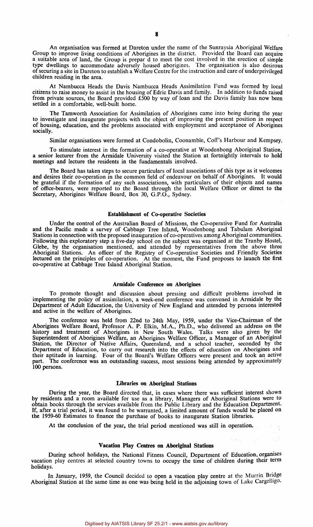An organisation was formed at Dareton under the name of the Sunraysia Aboriginal Welfare Group to improve living conditions of Aborigines in the district. Provided the Board can acquire a suitable area of land, the Group is prepared to meet the cost involved in the erection of simple type dwellings to accommodate adversely housed aborigines. The organisation is also desirous of securing a site in Dareton to establish a Welfare Centre for the instruction and care of underprivileged children residing in the area.

At Nambucca Heads the Davis Nambucca Heads Assimilation Fund was formed by local citizens to raise money to assist in the housing of Edric Davis and family. In addition to funds raised from private sources, the Board provided £500 by way of loan and the Davis family has now been settled in a comfortable, well-built home.

The Tamworth Association for Assimilation of Aborigines came into being during the year to investigate and inaugurate projects with the object of improving the present position in respect of housing, education, and the problems associated with employment and acceptance of Aborigines socially.

Similar organisations were formed at Condobolin, Coonamble, Coff's Harbour and Kempsey.

To stimulate interest in the formation of a co-operative at Woodenbong Aboriginal Station, a senior lecturer from the Armidale University visited the Station at fortnightly intervals to hold meetings and lecture the residents in the fundamentals involved.

The Board has taken steps to secure particulars of local associations of this type as it welcomes and desires their co-operation in the common field of endeavour on behalf of Aborigines. It would be grateful if the formation of any such associations, with particulars of their objects and names of office-bearers, were reported to the Board through the local Welfare Officer or direct to the Secretary, Aborigines Welfare Board, Box 30, G.P.O., Sydney.

#### Establishment of Co-operative Societies

Under the control of the Australian Board of Missions, the Co-operative Fund for Australia and the Pacific made a survey of Cabbage Tree Island, Woodenbong and Tabulam Aboriginal Stations in connection with the proposed inauguration of co-operatives among Aboriginal communities. Following this exploratory step a five-day school on the subject was organised at the Tranby Hostel, Glebe, by the organisation mentioned, and attended by representatives from the above three Aboriginal Stations. An officer of the Registry of Co-operative Societies and Friendly Societies lectured on the principles of co-operation. At the moment, the Fund proposes to launch the first co-operative at Cabbage Tree Island Aboriginal Station.

#### **Armidale Conference on Aborigines**

To promote thought and discussion about pressing and difficult problems involved in implementing the policy of assimilation, a week-end conference was convened in Armidale by the Department of Adult Education, the University of New England and attended by persons interested and active in the welfare of Aborigines.

The conference was held from 22nd to 24th May, 1959, under the Vice-Chairman of the Aborigines Welfare Board, Professor A. P. Elkin, M.A., Ph.D., who delivered an address on the history and treatment of Aborigines in New South Wales. Talks were also given by the Superintendent of Aborigines Welfare, an Aborigines Welfare Officer, a Manager of an Aboriginal Station, the Director of Native Affairs, Queensland, and a school teacher, seconded by the Department of Education, to carry out research into the effects of education on Aborigines and their aptitude in learning. Four of the Board's Welfare Officers were present and took an active part. The conference was an outstanding success, most sessions being attended by approximately 100 persons.

#### **Libraries on Aboriginal Stations**

During the year, the Board directed that, in cases where there was sufficient interest shown by residents and a room available for use as a library, Managers of Aboriginal Stations were to obtain books through the services available from the Public Library and the Education Department. If, after a trial period, it was found to be warranted, a limited amount of funds would be placed on the 1959-60 Estimates to finance the purchase of books to inaugurate Station libraries.

At the conclusion of the year, the trial period mentioned was still in operation.

#### **Vacation Play Centres on Aboriginal Stations**

During school holidays, the National Fitness Council, Department of Education, organises vacation play centres at selected country towns to occupy the time of children during their term holidays.

In January, 1959, the Council decided to open a vacation play centre at the Murrin Bridge Aboriginal Station at the same time as one was being held in the adjoining town of Lake Cargelligo.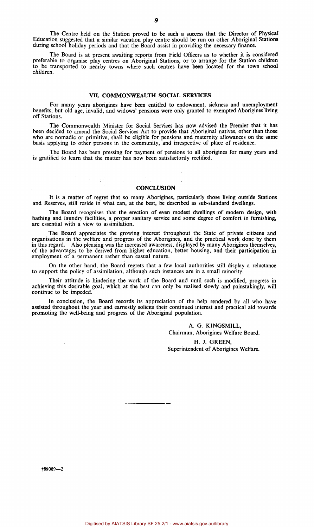The Centre held on the Station proved to be such a success that the Director of Physical Education suggested that a similar vacation play centre should be run on other Aboriginal Stations during school holiday periods and that the Board assist in providing the necessary finance.

The Board is at present awaiting reports from Field Officers as to whether it is considered preferable to organise play centres on Aboriginal Stations, or to arrange for the Station children to be transported to nearby towns where such centres have been located for the town school children.

#### **VII. COMMONWEALTH SOCIAL SERVICES**

For many years aborigines have been entitled to endowment, sickness and unemployment benefits, but old age, invalid, and widows' pensions were only granted to exempted Aborigines living off Stations.

The Commonwealth Minister for Social Services has now advised the Premier that it has been decided to amend the Social Services Act to provide that Aboriginal natives, other than those who are nomadic or primitive, shall be eligible for pensions and maternity allowances on the same basis applying to other persons in the community, and irrespective of place of residence.

The Board has been pressing for payment of pensions to all aborigines for many years and is gratified to learn that the matter has now been satisfactorily rectified.

#### **CONCLUSION**

iyê

**It** is a matter of regret that so many Aborigines, particularly those living outside Stations and Reserves, still reside in what can, at the best, be described as sub-standard dwellings.

The Board recognises that the erection of even modest dwellings of modern design, with bathing and laundry facilities, a proper sanitary service and some degree of comfort in furnishing, are essential with a view to assimilation.

The Board appreciates the growing interest throughout the State of private citizens and organisations in the welfare and progress of the Aborigines, and the practical work done by them in this regard. Also pleasing was the increased awareness, displayed by many Aborigines themselves, of the advantages to be derived from higher education, better housing, and their participation in employment of a permanent rather than casual nature.

On the other hand, the Board regrets that a few local authorities still display a reluctance to support the policy of assimilation, although such instances are in a small minority.

Their attitude is hindering the work of the Board and until such is modified, progress in achieving this desirable goal, which at the best can only be realised slowly and painstakingly, will continue to be impeded.

In conclusion, the Board records its appreciation of the help rendered by all who have assisted throughout the year and earnestly solicits their continued interest and practical aid towards promoting the well-being and progress of the Aboriginal population.

> A. G. KINGSMILL, Chairman, Aborigines Welfare Board. H. J. GREEN, Superintendent of Aborigines Welfare.

89089—2

 $\bullet$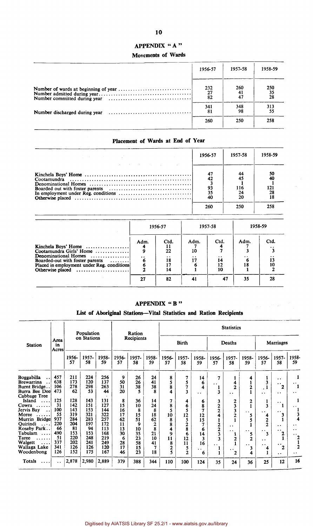## **APPENDIX " A "**

## **Movements of Wards**

| 1956-57         | 1957-58   | 1958-59                |
|-----------------|-----------|------------------------|
| 232<br>27<br>82 | 260<br>41 | 250<br>$\frac{35}{28}$ |
| 341<br>81       | 348<br>98 | 313<br>55              |
| 260             | 250       | 258                    |

## **Placement of Wards at End of Year**

| 图 1990年10月11日 1月11日 1月11日 1月11日 1月11日 1月11日 1月11日 1月11日 1月11日 1月11日 1月11日 1月11日 1月11日 | 1956-57         | 1957-58                      | 1958-59          |
|---------------------------------------------------------------------------------------|-----------------|------------------------------|------------------|
| the company of the control of the company of the company                              | 93<br>35<br>260 | 44<br>116<br>24<br>20<br>250 | 121<br>28<br>258 |

|                                                                                                                                                                                    | 1956-57          |                                    | 1957-58                 |                                           | 1958-59 |      |
|------------------------------------------------------------------------------------------------------------------------------------------------------------------------------------|------------------|------------------------------------|-------------------------|-------------------------------------------|---------|------|
| Kinchela Boys' Home<br>Cootamundra Girls' Home<br>Denominational Homes<br>Boarded-out with foster parents<br>. 1<br>Placed in employment under Reg. conditions<br>Otherwise placed | Adm.<br>$\cdots$ | Ctd.<br>п<br>22<br>. .<br>18<br>14 | Adm.<br>10<br>$\bullet$ | Ctd.<br>$\cdot$ $\cdot$<br>14<br>12<br>10 | Adm.    | Ctd. |
|                                                                                                                                                                                    | 27               | 82                                 | 41                      | 47                                        | 35      | 28   |

## **APPENDIX " B "**

## **List of Aboriginal Stations—Vital Statistics and Ration Recipients**

|                                    |                     |             | Population  |             |             | Ration      |                |                |                |                      |                      | <b>Statistics</b>    |                      |                      |                      |                      |
|------------------------------------|---------------------|-------------|-------------|-------------|-------------|-------------|----------------|----------------|----------------|----------------------|----------------------|----------------------|----------------------|----------------------|----------------------|----------------------|
| <b>Station</b>                     | Area<br>in<br>Acres |             | on Stations |             |             | Recipients  | <b>Birth</b>   |                | Deaths         |                      |                      | Marriages            |                      |                      |                      |                      |
|                                    |                     | 1956-<br>57 | 1957-<br>58 | 1958-<br>59 | 1956-<br>57 | 1957-<br>58 | 1958-<br>59    | 1956-<br>57    | 1957-<br>58    | 1958-<br>59          | 1956-<br>57          | 1957-<br>58          | 1958-<br>59          | 1956-<br>57          | 1957-<br>58          | 1958-<br>59          |
| Boggabilla                         | 457                 | 211         | 224         | 256         | 9           | 26          | 24             | 8              | 7              | 14                   | 7                    |                      |                      |                      | $\ddot{\phantom{0}}$ |                      |
| <b>Brewarrina</b>                  | 638                 | 173         | 120         | 137         | 50          | 26          | 41             | 5              | 5              | 6                    | $\ddot{\phantom{0}}$ | 4                    |                      | 3                    | $\cdot$ .            | $\ddotsc$            |
| Burnt Bridge.                      | 106                 | 278         | 298         | 263         | 31          | 38          | 38             | 8              | 7              | 4                    |                      | $\overline{2}$       | $\overline{2}$       |                      | 2                    | $\mathbf{1}$         |
| Burra Bee Deel                     | 473                 | 62          | 53          | 44          | 20          | 5           | 8              | 4              | 3              | $\cdot$ $\cdot$      | 3                    | $\ddot{\phantom{0}}$ |                      | . .                  | . .                  | . .                  |
| Cabbage Tree                       |                     |             |             |             |             |             |                |                |                |                      |                      |                      |                      |                      |                      |                      |
| Island                             | 125                 | 128         | 143         | 131         | 8           | 36          | 14             | 7              | 4              | 6                    | 3                    | 2                    | $\mathbf{2}$         | 1                    | $\ddot{\phantom{1}}$ |                      |
| Cowra<br>.                         | 31                  | 142         | 151         | 127         | 15          | 10          | 24             | 8              | 6              | 8                    | $\overline{2}$       | 3                    |                      | 3                    | 1                    | $\ddot{\phantom{1}}$ |
| Jervis Bay<br>$\ddot{\phantom{0}}$ | 100                 | 143         | 153         | 144         | 16          | 8           | 8              | 5              | 5              | 7                    | $\overline{2}$       | 3                    | $\ddot{\phantom{0}}$ | $\ddot{\phantom{1}}$ | $\ddot{\phantom{1}}$ |                      |
| Moree                              | 55                  | 319         | 321         | 322         | 17          | 15          | 18             | 10             | 12             | 12                   |                      | $\overline{2}$       |                      | 4                    | 3                    |                      |
| Murrin Bridge                      | 937                 | 284         | 283         | 257         | 62          | 51          | 62             | 8              | 5              | 15                   |                      |                      |                      | 2                    |                      | Δ                    |
| Quirindi<br>$2.2 + 1$              | 220                 | 204         | 197         | 172         | 11          | 9           | $\overline{2}$ | 8              | $\overline{2}$ | 7                    | 2                    | $\ddot{\phantom{1}}$ |                      | $\overline{2}$       | $\ddot{\phantom{0}}$ | . .                  |
| Roseby Park                        | 66                  | 81          | 94          | 113         | 13          | 10          | 8              | 4              | 8              | 6                    | $\overline{2}$       | . .                  | . .                  | $\ddot{\phantom{1}}$ | $\ddot{\phantom{0}}$ | $\ddot{\phantom{0}}$ |
| Tabulam<br>$\cdots$                | 490                 | 153         | 153         | 168         | 30          | 35          | 21             | 9              | 6              | 14                   | 3                    | 1                    | 5                    | 3                    | 2                    | $\ddot{\phantom{1}}$ |
| Taree<br>.                         | 51                  | 220         | 248         | 219         | 6           | 23          | 10             | 11             | 12             | 3                    | ٦                    | $\overline{2}$       | $\mathbf{z}$         | . .                  |                      | 2                    |
| Walgett<br>$\cdots$                | 337                 | 202         | 241         | 249         | 28          | 58          | 41             | 8              | 11             | 16                   | $\ddot{\phantom{0}}$ |                      | $\cdot$ .            | $\ddot{\phantom{0}}$ | $\bullet$            |                      |
| Wallaga Lake                       | 341                 | 126         | 126         | 120         | 17          | 15          | 7              | $\overline{2}$ | 5              | $\ddot{\phantom{1}}$ |                      | $\bullet$            | 3                    | 4                    | $\mathbf{2}$         | $\overline{2}$       |
| Woodenbong                         | 126                 | 152         | 175         | 167         | 46          | 23          | 18             | 5              | $\mathbf{2}$   | 6                    |                      | $\mathbf 2$          |                      |                      | $\ddot{\phantom{1}}$ | $\cdot$ .            |
| <b>Totals</b>                      | . .                 | 2,878       | 2,980       | 2,889       | 379         | 388         | 344            | 110            | 100            | 124                  | 35                   | 24                   | 36                   | 25                   | 12                   | 16                   |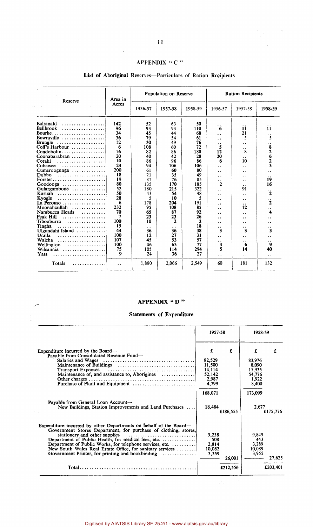## APFENDIX " C "

| Reserve                                         | Area in              |                            | Population on Reserve |              | <b>Ration Recipients</b>  |                            |                                      |
|-------------------------------------------------|----------------------|----------------------------|-----------------------|--------------|---------------------------|----------------------------|--------------------------------------|
|                                                 | Acres                | 1956-57                    | 1957-58               | 1958-59      | 1956-57                   | 1957-58                    | 1958-59                              |
| Balranald<br>.                                  | 142                  | 52                         | 63                    | 50           | . .                       |                            |                                      |
| Bellbrook<br>.                                  | 96                   | 93                         | 93                    | 110          | 6                         | 11                         | 11                                   |
| Bourke                                          | 34                   | 45                         | 44                    | 68           | $\ddot{\phantom{a}}$      | 21                         | . .                                  |
| Bowraville                                      | 36                   | 79                         | 54                    | 61           | . .                       | 5                          | 5                                    |
| <b>Brungle</b>                                  | 12                   | 30                         | 49                    | 76           | $\ddot{\phantom{1}}$      | $\ddot{\phantom{0}}$       | . .                                  |
| Coff's Harbour                                  | 6                    | 108                        | 60                    | 72           | 5                         | $\ddot{\phantom{0}}$       | 8                                    |
| $Condobolin \ldots \ldots \ldots \ldots \ldots$ | 16                   | 82                         | 86                    | 180          | 12                        | 8                          | $\overline{2}$                       |
| Coonabarabran                                   | 20                   | 40                         | 42                    | 28           | 20                        | $\ddot{\phantom{a}}$       | 6                                    |
| Coraki                                          | 10                   | 86                         | 96                    | 86           | 6                         | 10                         |                                      |
| Cubawee<br>.                                    | 24                   | 94                         | 106                   | 106          | $\cdot$ .                 | . .                        | 3                                    |
| $C$ umeroogunga                                 | 200                  | 61                         | 60                    | 80           | $\ddot{\phantom{0}}$      |                            |                                      |
| Dubbo<br>. <i>.</i>                             | 18                   | 21                         | 35                    | 49           |                           |                            |                                      |
| $Forster$                                       | 19                   | 87                         | 76                    | 85           | $\ddot{\phantom{0}}$      | . .                        | . .<br>19                            |
| Goodooga                                        | 80                   | 135                        | 170                   | 185          | $\ddot{\phantom{1}}$<br>2 | $\ddot{\phantom{0}}$       | 16                                   |
| Gulargambone                                    | 52                   | 180                        | 215                   | 322          |                           | $\ddot{\phantom{0}}$<br>91 |                                      |
| Karuah                                          | 50                   | 43                         | 54                    | 48           | $\cdot$ .                 |                            | . .<br>2                             |
| Kyogle                                          | 28                   | 5                          | 10                    | 5            | $\ddot{\phantom{0}}$      | $\ddot{\phantom{0}}$       |                                      |
| La Perouse                                      | 6                    | 178                        | 204                   | 191          | . .                       | $\ddot{\phantom{0}}$       | $\ddot{\phantom{1}}$<br>$\mathbf{2}$ |
| Moonahcullah<br>.                               | 232                  | 95                         | 108                   | 85           | $\ddot{\phantom{0}}$      | $\ddot{\phantom{0}}$<br>12 |                                      |
| Nambucca Heads<br>.                             | 70                   | 65                         | 87                    | 92           | . .                       |                            | . .<br>4                             |
| Peak Hill                                       | 7                    | 23                         | 23                    | 26           | . .                       | . .                        |                                      |
| .<br>Tibooburra                                 | 100                  | 10                         | 2                     | $\mathbf{z}$ | . .                       | . .                        |                                      |
| . <i>.</i>                                      | 15                   |                            |                       | 18           | $\ddot{\phantom{1}}$      | $\ddot{\phantom{0}}$       | . .                                  |
| Tingha<br>.                                     | 44                   | $\ddot{\phantom{0}}$<br>36 | 36                    | 38           | $\ddot{\phantom{1}}$      | . .<br>3                   | . .                                  |
| Ulgundahi Island                                | 100                  |                            |                       | 31           | 3                         |                            | 3                                    |
| Uralla<br>.                                     |                      | 12                         | 27                    |              | . .                       | . .                        | . .                                  |
| Walcha                                          | 107                  | 45                         | 53                    | 57           | $\ddot{\phantom{1}}$      | . .                        | . .                                  |
| Wellington<br>.                                 | 100                  | 46                         | 63                    | 77           | 3                         | 6                          | 9                                    |
| Wilcannia                                       | 75                   | 105                        | 114                   | 294          | 5                         | 14                         | 40                                   |
| Yass<br>.                                       | 9                    | 24                         | 36                    | 27           | $\ddot{\phantom{1}}$      | $\ddot{\phantom{0}}$       | $\ddot{\phantom{1}}$                 |
| Totals<br>.                                     | $\ddot{\phantom{1}}$ | 1,880                      | 2,066                 | 2.549        | 60                        | 181                        | 132                                  |

## List of Aboriginal Reserves—Particulars of Ration Recipients

### **APPENDIX " D "**

### **Statements of** Expenditure

|                                                                                                                                                                                                                                                                                                                                                                                                                | 1957-58                                                                |          | 1958-59                                                               |          |
|----------------------------------------------------------------------------------------------------------------------------------------------------------------------------------------------------------------------------------------------------------------------------------------------------------------------------------------------------------------------------------------------------------------|------------------------------------------------------------------------|----------|-----------------------------------------------------------------------|----------|
| Expenditure incurred by the Board—<br>Payable from Consolidated Revenue Fund-<br><b>Transport Expenses</b><br>Maintenance of, and assistance to, Aborigines<br>Purchase of Plant and Equipment                                                                                                                                                                                                                 | £<br>82,529<br>11,500<br>14,114<br>52,142<br>2,987<br>4,799<br>168,071 | £        | £<br>83,976<br>8,090<br>15,935<br>54,776<br>1,922<br>8,400<br>173,099 |          |
| Payable from General Loan Account-<br>New Buildings, Station Improvements and Land Purchases                                                                                                                                                                                                                                                                                                                   | 18,484                                                                 | £186,555 | 2,677                                                                 | £175,776 |
| Expenditure incurred by other Departments on behalf of the Board—<br>Government Stores Department, for purchase of clothing, stores,<br>stationery and other supplies<br>Department of Public Health, for medical fees, etc.<br>Department of Public Works, for telephone services, etc.<br>New South Wales Real Estate Office, for sanitary services<br>Government Printer, for printing and bookbinding<br>. | 9,238<br>508<br>2,814<br>10,082<br>3,359                               | 26,001   | 9,849<br>443<br>3,289<br>10,089<br>3,955                              | 27,625   |
| Total.                                                                                                                                                                                                                                                                                                                                                                                                         |                                                                        | £212,556 |                                                                       | £203,401 |